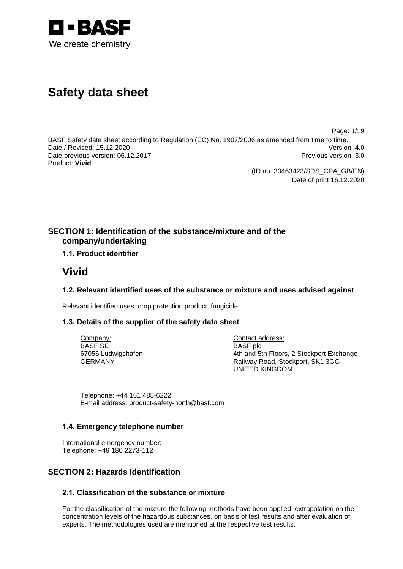

# **Safety data sheet**

Page: 1/19

BASF Safety data sheet according to Regulation (EC) No. 1907/2006 as amended from time to time.<br>Date / Revised: 15.12.2020 Date / Revised: 15.12.2020 Date previous version: 06.12.2017 **Previous version: 3.0** Previous version: 3.0 Product: **Vivid**

> (ID no. 30463423/SDS\_CPA\_GB/EN) Date of print 16.12.2020

**SECTION 1: Identification of the substance/mixture and of the company/undertaking**

**1.1. Product identifier**

## **Vivid**

## **1.2. Relevant identified uses of the substance or mixture and uses advised against**

\_\_\_\_\_\_\_\_\_\_\_\_\_\_\_\_\_\_\_\_\_\_\_\_\_\_\_\_\_\_\_\_\_\_\_\_\_\_\_\_\_\_\_\_\_\_\_\_\_\_\_\_\_\_\_\_\_\_\_\_\_\_\_\_\_\_\_\_\_\_\_\_\_\_\_

Relevant identified uses: crop protection product, fungicide

## **1.3. Details of the supplier of the safety data sheet**

Company: BASF SE 67056 Ludwigshafen GERMANY

Contact address: BASF plc 4th and 5th Floors, 2 Stockport Exchange Railway Road, Stockport, SK1 3GG UNITED KINGDOM

Telephone: +44 161 485-6222 E-mail address: product-safety-north@basf.com

## **1.4. Emergency telephone number**

International emergency number: Telephone: +49 180 2273-112

## **SECTION 2: Hazards Identification**

## **2.1. Classification of the substance or mixture**

For the classification of the mixture the following methods have been applied: extrapolation on the concentration levels of the hazardous substances, on basis of test results and after evaluation of experts. The methodologies used are mentioned at the respective test results.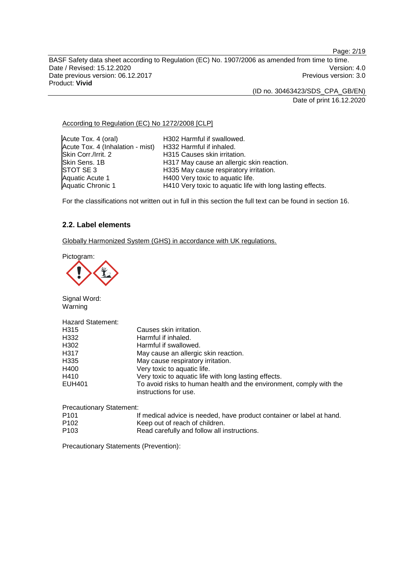Page: 2/19

BASF Safety data sheet according to Regulation (EC) No. 1907/2006 as amended from time to time. Date / Revised: 15.12.2020<br>
Date previous version: 06.12.2017<br>
Date previous version: 06.12.2017 Date previous version: 06.12.2017 Product: **Vivid**

(ID no. 30463423/SDS\_CPA\_GB/EN)

Date of print 16.12.2020

According to Regulation (EC) No 1272/2008 [CLP]

Acute Tox. 4 (oral) H302 Harmful if swallowed. Acute Tox. 4 (Inhalation - mist) H332 Harmful if inhaled. Skin Corr./Irrit. 2 **H315 Causes skin irritation.**<br>Skin Sens. 1B **H317 May cause an allergic** Skin Sens. 1B **H317 May cause an allergic skin reaction.**<br>STOT SE 3 **H335 May cause respiratory irritation**. STOT SE 3 H335 May cause respiratory irritation.<br>Aquatic Acute 1 H400 Very toxic to aquatic life. Aquatic Acute 1 **H400 Very toxic to aquatic life.**<br>
Aquatic Chronic 1 **H410 Very toxic to aquatic life** H410 Very toxic to aquatic life with long lasting effects.

For the classifications not written out in full in this section the full text can be found in section 16.

## **2.2. Label elements**

Globally Harmonized System (GHS) in accordance with UK regulations.

Pictogram:



Signal Word: Warning

| <b>Hazard Statement:</b> |                                                                                              |
|--------------------------|----------------------------------------------------------------------------------------------|
| H315                     | Causes skin irritation.                                                                      |
| H332                     | Harmful if inhaled.                                                                          |
| H302                     | Harmful if swallowed.                                                                        |
| H317                     | May cause an allergic skin reaction.                                                         |
| H335                     | May cause respiratory irritation.                                                            |
| H400                     | Very toxic to aquatic life.                                                                  |
| H410                     | Very toxic to aquatic life with long lasting effects.                                        |
| <b>EUH401</b>            | To avoid risks to human health and the environment, comply with the<br>instructions for use. |
|                          |                                                                                              |

| <b>Precautionary Statement:</b> |                                                                       |
|---------------------------------|-----------------------------------------------------------------------|
| P101                            | If medical advice is needed, have product container or label at hand. |
| P102                            | Keep out of reach of children.                                        |
| P103                            | Read carefully and follow all instructions.                           |

Precautionary Statements (Prevention):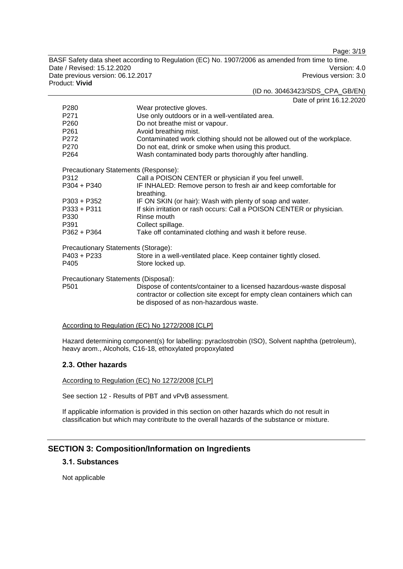Page: 3/19

BASF Safety data sheet according to Regulation (EC) No. 1907/2006 as amended from time to time. Date / Revised: 15.12.2020<br>
Date previous version: 06.12.2017<br>
Date previous version: 06.12.2017 Date previous version: 06.12.2017 Product: **Vivid**

(ID no. 30463423/SDS\_CPA\_GB/EN) Date of print 16.12.2020

| P <sub>280</sub>                     | Wear protective gloves.                                                                                                                                                                     |  |
|--------------------------------------|---------------------------------------------------------------------------------------------------------------------------------------------------------------------------------------------|--|
| P271                                 | Use only outdoors or in a well-ventilated area.                                                                                                                                             |  |
| P260                                 | Do not breathe mist or vapour.                                                                                                                                                              |  |
| P <sub>261</sub>                     | Avoid breathing mist.                                                                                                                                                                       |  |
| P272                                 | Contaminated work clothing should not be allowed out of the workplace.                                                                                                                      |  |
| P270                                 | Do not eat, drink or smoke when using this product.                                                                                                                                         |  |
| P <sub>264</sub>                     | Wash contaminated body parts thoroughly after handling.                                                                                                                                     |  |
| Precautionary Statements (Response): |                                                                                                                                                                                             |  |
| P312                                 | Call a POISON CENTER or physician if you feel unwell.                                                                                                                                       |  |
| P304 + P340                          | IF INHALED: Remove person to fresh air and keep comfortable for<br>breathing.                                                                                                               |  |
| $P303 + P352$                        | IF ON SKIN (or hair): Wash with plenty of soap and water.                                                                                                                                   |  |
| $P333 + P311$                        | If skin irritation or rash occurs: Call a POISON CENTER or physician.                                                                                                                       |  |
| P330                                 | Rinse mouth                                                                                                                                                                                 |  |
| P391                                 | Collect spillage.                                                                                                                                                                           |  |
| P362 + P364                          | Take off contaminated clothing and wash it before reuse.                                                                                                                                    |  |
| Precautionary Statements (Storage):  |                                                                                                                                                                                             |  |
| P403 + P233                          | Store in a well-ventilated place. Keep container tightly closed.                                                                                                                            |  |
| P405                                 | Store locked up.                                                                                                                                                                            |  |
| Precautionary Statements (Disposal): |                                                                                                                                                                                             |  |
| P501                                 | Dispose of contents/container to a licensed hazardous-waste disposal<br>contractor or collection site except for empty clean containers which can<br>be disposed of as non-hazardous waste. |  |
|                                      |                                                                                                                                                                                             |  |

According to Regulation (EC) No 1272/2008 [CLP]

Hazard determining component(s) for labelling: pyraclostrobin (ISO), Solvent naphtha (petroleum), heavy arom., Alcohols, C16-18, ethoxylated propoxylated

#### **2.3. Other hazards**

According to Regulation (EC) No 1272/2008 [CLP]

See section 12 - Results of PBT and vPvB assessment.

If applicable information is provided in this section on other hazards which do not result in classification but which may contribute to the overall hazards of the substance or mixture.

## **SECTION 3: Composition/Information on Ingredients**

## **3.1. Substances**

Not applicable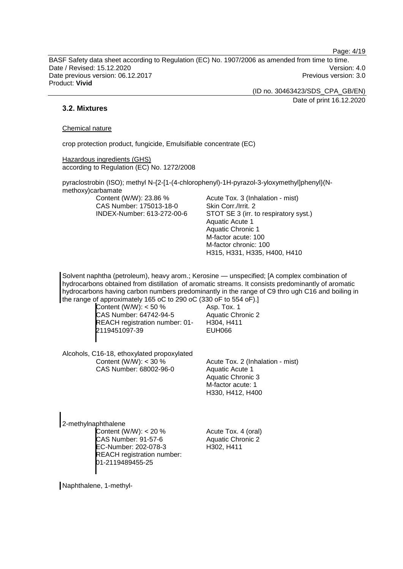Page: 4/19

BASF Safety data sheet according to Regulation (EC) No. 1907/2006 as amended from time to time. Date / Revised: 15.12.2020 Version: 4.0 Date previous version: 06.12.2017 **Previous version: 3.0** Previous version: 3.0 Product: **Vivid**

(ID no. 30463423/SDS\_CPA\_GB/EN)

Date of print 16.12.2020

## **3.2. Mixtures**

#### Chemical nature

crop protection product, fungicide, Emulsifiable concentrate (EC)

Hazardous ingredients (GHS) according to Regulation (EC) No. 1272/2008

pyraclostrobin (ISO); methyl N-{2-[1-(4-chlorophenyl)-1H-pyrazol-3-yloxymethyl]phenyl}(Nmethoxy)carbamate

Content (W/W): 23.86 % CAS Number: 175013-18-0 INDEX-Number: 613-272-00-6 Acute Tox. 3 (Inhalation - mist) Skin Corr./Irrit. 2 STOT SE 3 (irr. to respiratory syst.) Aquatic Acute 1 Aquatic Chronic 1 M-factor acute: 100 M-factor chronic: 100 H315, H331, H335, H400, H410

Solvent naphtha (petroleum), heavy arom.; Kerosine — unspecified; [A complex combination of hydrocarbons obtained from distillation of aromatic streams. It consists predominantly of aromatic hydrocarbons having carbon numbers predominantly in the range of C9 thro ugh C16 and boiling in the range of approximately 165 oC to 290 oC (330 oF to 554 oF).]

Content (W/W): < 50 % CAS Number: 64742-94-5 REACH registration number: 01- 2119451097-39

Asp. Tox. 1 Aquatic Chronic 2 H304, H411 EUH066

Alcohols, C16-18, ethoxylated propoxylated Content (W/W):  $<$  30 % CAS Number: 68002-96-0

Acute Tox. 2 (Inhalation - mist) Aquatic Acute 1 Aquatic Chronic 3 M-factor acute: 1 H330, H412, H400

2-methylnaphthalene Content (W/W): < 20 % CAS Number: 91-57-6 EC-Number: 202-078-3 REACH registration number: 01-2119489455-25

Acute Tox. 4 (oral) Aquatic Chronic 2 H302, H411

Naphthalene, 1-methyl-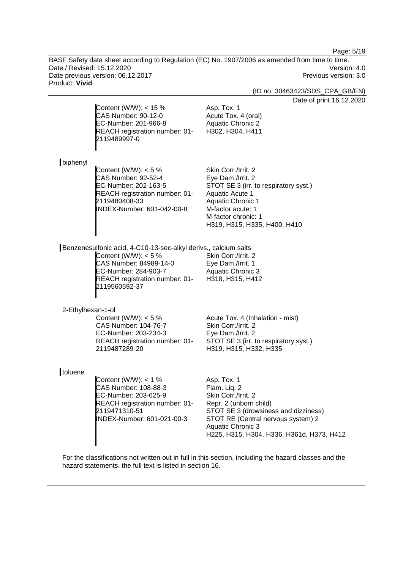Page: 5/19

BASF Safety data sheet according to Regulation (EC) No. 1907/2006 as amended from time to time. Date / Revised: 15.12.2020<br>
Date previous version: 06.12.2017<br>
Previous version: 3.0 Date previous version: 06.12.2017 Product: **Vivid**

(ID no. 30463423/SDS\_CPA\_GB/EN)

Date of print 16.12.2020

|                   | Content (W/W): $<$ 15 %<br>CAS Number: 90-12-0<br>EC-Number: 201-966-8<br>REACH registration number: 01-<br>2119489997-0                                                                       | Date of print 16.12<br>Asp. Tox. 1<br>Acute Tox. 4 (oral)<br><b>Aquatic Chronic 2</b><br>H302, H304, H411                                                                                                                    |
|-------------------|------------------------------------------------------------------------------------------------------------------------------------------------------------------------------------------------|------------------------------------------------------------------------------------------------------------------------------------------------------------------------------------------------------------------------------|
| biphenyl          | Content (W/W): $<$ 5 %<br><b>CAS Number: 92-52-4</b><br>EC-Number: 202-163-5<br>REACH registration number: 01-<br>2119480408-33<br>INDEX-Number: 601-042-00-8                                  | Skin Corr./Irrit. 2<br>Eye Dam./Irrit. 2<br>STOT SE 3 (irr. to respiratory syst.)<br><b>Aquatic Acute 1</b><br><b>Aquatic Chronic 1</b><br>M-factor acute: 1<br>M-factor chronic: 1<br>H319, H315, H335, H400, H410          |
|                   | Benzenesulfonic acid, 4-C10-13-sec-alkyl derivs., calcium salts<br>Content (W/W): $<$ 5 %<br>CAS Number: 84989-14-0<br>EC-Number: 284-903-7<br>REACH registration number: 01-<br>2119560592-37 | Skin Corr./Irrit. 2<br>Eye Dam./Irrit. 1<br><b>Aquatic Chronic 3</b><br>H318, H315, H412                                                                                                                                     |
| 2-Ethylhexan-1-ol | Content (W/W): $<$ 5 %<br>CAS Number: 104-76-7<br>EC-Number: 203-234-3<br>REACH registration number: 01-<br>2119487289-20                                                                      | Acute Tox. 4 (Inhalation - mist)<br>Skin Corr./Irrit. 2<br>Eye Dam./Irrit. 2<br>STOT SE 3 (irr. to respiratory syst.)<br>H319, H315, H332, H335                                                                              |
| toluene           | Content (W/W): $<$ 1 %<br>CAS Number: 108-88-3<br>EC-Number: 203-625-9<br>REACH registration number: 01-<br>2119471310-51<br>INDEX-Number: 601-021-00-3                                        | Asp. Tox. 1<br>Flam. Liq. 2<br>Skin Corr./Irrit. 2<br>Repr. 2 (unborn child)<br>STOT SE 3 (drowsiness and dizziness)<br>STOT RE (Central nervous system) 2<br>Aquatic Chronic 3<br>H225, H315, H304, H336, H361d, H373, H412 |

For the classifications not written out in full in this section, including the hazard classes and the hazard statements, the full text is listed in section 16.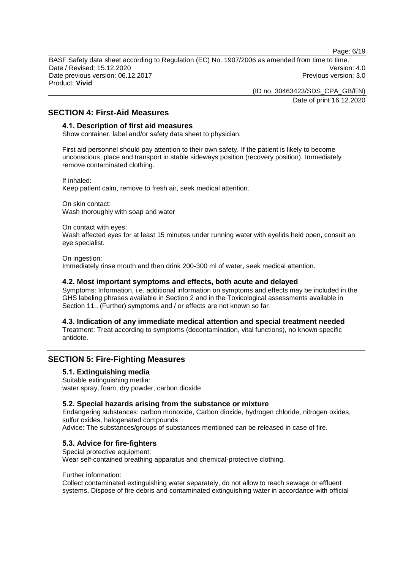Page: 6/19

BASF Safety data sheet according to Regulation (EC) No. 1907/2006 as amended from time to time. Date / Revised: 15.12.2020 Version: 4.0 Date previous version: 06.12.2017 **Previous version: 3.0** Previous version: 3.0 Product: **Vivid**

(ID no. 30463423/SDS\_CPA\_GB/EN)

Date of print 16.12.2020

## **SECTION 4: First-Aid Measures**

#### **4.1. Description of first aid measures**

Show container, label and/or safety data sheet to physician.

First aid personnel should pay attention to their own safety. If the patient is likely to become unconscious, place and transport in stable sideways position (recovery position). Immediately remove contaminated clothing.

If inhaled: Keep patient calm, remove to fresh air, seek medical attention.

On skin contact: Wash thoroughly with soap and water

On contact with eyes:

Wash affected eyes for at least 15 minutes under running water with eyelids held open, consult an eye specialist.

On ingestion: Immediately rinse mouth and then drink 200-300 ml of water, seek medical attention.

#### **4.2. Most important symptoms and effects, both acute and delayed**

Symptoms: Information, i.e. additional information on symptoms and effects may be included in the GHS labeling phrases available in Section 2 and in the Toxicological assessments available in Section 11., (Further) symptoms and / or effects are not known so far

**4.3. Indication of any immediate medical attention and special treatment needed**

Treatment: Treat according to symptoms (decontamination, vital functions), no known specific antidote.

## **SECTION 5: Fire-Fighting Measures**

#### **5.1. Extinguishing media**

Suitable extinguishing media: water spray, foam, dry powder, carbon dioxide

#### **5.2. Special hazards arising from the substance or mixture**

Endangering substances: carbon monoxide, Carbon dioxide, hydrogen chloride, nitrogen oxides, sulfur oxides, halogenated compounds Advice: The substances/groups of substances mentioned can be released in case of fire.

#### **5.3. Advice for fire-fighters**

Special protective equipment: Wear self-contained breathing apparatus and chemical-protective clothing.

#### Further information:

Collect contaminated extinguishing water separately, do not allow to reach sewage or effluent systems. Dispose of fire debris and contaminated extinguishing water in accordance with official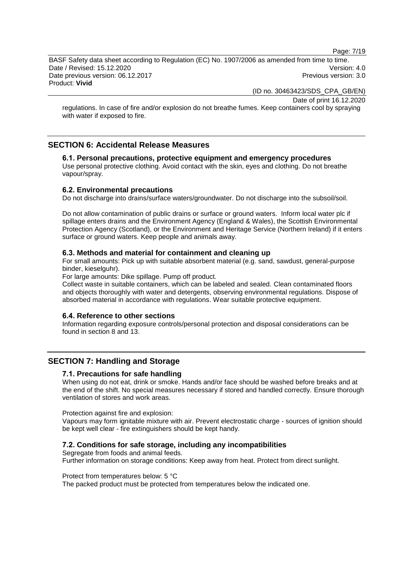Page: 7/19

BASF Safety data sheet according to Regulation (EC) No. 1907/2006 as amended from time to time. Date / Revised: 15.12.2020 Version: 4.0 Date previous version: 06.12.2017 **Previous version: 3.0** Previous version: 3.0 Product: **Vivid**

(ID no. 30463423/SDS\_CPA\_GB/EN)

Date of print 16.12.2020

regulations. In case of fire and/or explosion do not breathe fumes. Keep containers cool by spraying with water if exposed to fire.

## **SECTION 6: Accidental Release Measures**

## **6.1. Personal precautions, protective equipment and emergency procedures**

Use personal protective clothing. Avoid contact with the skin, eyes and clothing. Do not breathe vapour/spray.

#### **6.2. Environmental precautions**

Do not discharge into drains/surface waters/groundwater. Do not discharge into the subsoil/soil.

Do not allow contamination of public drains or surface or ground waters. Inform local water plc if spillage enters drains and the Environment Agency (England & Wales), the Scottish Environmental Protection Agency (Scotland), or the Environment and Heritage Service (Northern Ireland) if it enters surface or ground waters. Keep people and animals away.

#### **6.3. Methods and material for containment and cleaning up**

For small amounts: Pick up with suitable absorbent material (e.g. sand, sawdust, general-purpose binder, kieselguhr).

For large amounts: Dike spillage. Pump off product.

Collect waste in suitable containers, which can be labeled and sealed. Clean contaminated floors and objects thoroughly with water and detergents, observing environmental regulations. Dispose of absorbed material in accordance with regulations. Wear suitable protective equipment.

#### **6.4. Reference to other sections**

Information regarding exposure controls/personal protection and disposal considerations can be found in section 8 and 13.

## **SECTION 7: Handling and Storage**

#### **7.1. Precautions for safe handling**

When using do not eat, drink or smoke. Hands and/or face should be washed before breaks and at the end of the shift. No special measures necessary if stored and handled correctly. Ensure thorough ventilation of stores and work areas.

Protection against fire and explosion:

Vapours may form ignitable mixture with air. Prevent electrostatic charge - sources of ignition should be kept well clear - fire extinguishers should be kept handy.

#### **7.2. Conditions for safe storage, including any incompatibilities**

Segregate from foods and animal feeds. Further information on storage conditions: Keep away from heat. Protect from direct sunlight.

#### Protect from temperatures below: 5 °C

The packed product must be protected from temperatures below the indicated one.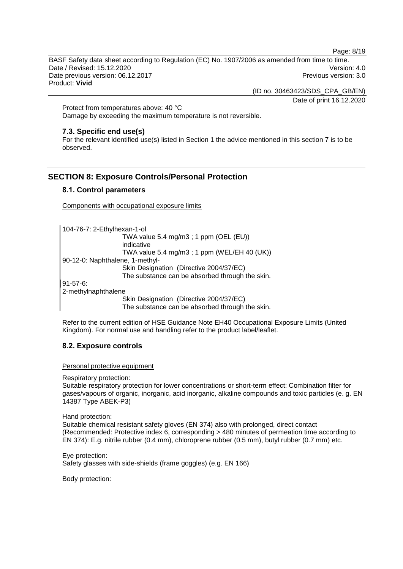Page: 8/19

BASF Safety data sheet according to Regulation (EC) No. 1907/2006 as amended from time to time. Date / Revised: 15.12.2020 Version: 4.0 Date previous version: 06.12.2017 **Previous version: 3.0** Previous version: 3.0 Product: **Vivid**

(ID no. 30463423/SDS\_CPA\_GB/EN)

Date of print 16.12.2020

Protect from temperatures above: 40 °C Damage by exceeding the maximum temperature is not reversible.

#### **7.3. Specific end use(s)**

For the relevant identified use(s) listed in Section 1 the advice mentioned in this section 7 is to be observed.

## **SECTION 8: Exposure Controls/Personal Protection**

#### **8.1. Control parameters**

Components with occupational exposure limits

104-76-7: 2-Ethylhexan-1-ol TWA value 5.4 mg/m3 ; 1 ppm (OEL (EU)) indicative TWA value 5.4 mg/m3 ; 1 ppm (WEL/EH 40 (UK)) 90-12-0: Naphthalene, 1-methyl-Skin Designation (Directive 2004/37/EC) The substance can be absorbed through the skin. 91-57-6: 2-methylnaphthalene

Skin Designation (Directive 2004/37/EC)

The substance can be absorbed through the skin.

Refer to the current edition of HSE Guidance Note EH40 Occupational Exposure Limits (United Kingdom). For normal use and handling refer to the product label/leaflet.

#### **8.2. Exposure controls**

Personal protective equipment

Respiratory protection:

Suitable respiratory protection for lower concentrations or short-term effect: Combination filter for gases/vapours of organic, inorganic, acid inorganic, alkaline compounds and toxic particles (e. g. EN 14387 Type ABEK-P3)

Hand protection:

Suitable chemical resistant safety gloves (EN 374) also with prolonged, direct contact (Recommended: Protective index 6, corresponding > 480 minutes of permeation time according to EN 374): E.g. nitrile rubber (0.4 mm), chloroprene rubber (0.5 mm), butyl rubber (0.7 mm) etc.

Eye protection: Safety glasses with side-shields (frame goggles) (e.g. EN 166)

Body protection: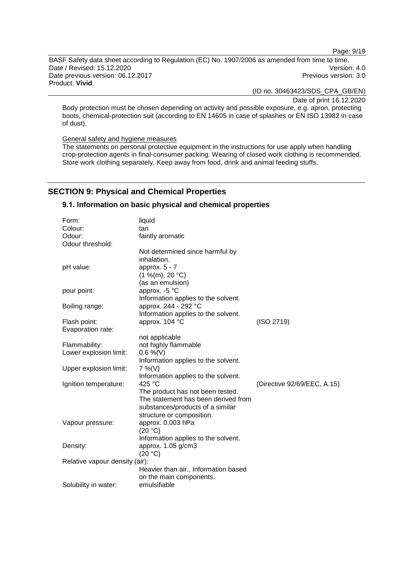Page: 9/19

BASF Safety data sheet according to Regulation (EC) No. 1907/2006 as amended from time to time. Date / Revised: 15.12.2020<br>
Date previous version: 06.12.2017<br>
Date previous version: 06.12.2017 Date previous version: 06.12.2017 Product: **Vivid**

(ID no. 30463423/SDS\_CPA\_GB/EN)

Date of print 16.12.2020

Body protection must be chosen depending on activity and possible exposure, e.g. apron, protecting boots, chemical-protection suit (according to EN 14605 in case of splashes or EN ISO 13982 in case of dust).

General safety and hygiene measures

The statements on personal protective equipment in the instructions for use apply when handling crop-protection agents in final-consumer packing. Wearing of closed work clothing is recommended. Store work clothing separately. Keep away from food, drink and animal feeding stuffs.

## **SECTION 9: Physical and Chemical Properties**

## **9.1. Information on basic physical and chemical properties**

| Form:                          | liquid                               |                             |
|--------------------------------|--------------------------------------|-----------------------------|
| Colour:                        | tan                                  |                             |
| Odour:                         | faintly aromatic                     |                             |
| Odour threshold:               |                                      |                             |
|                                | Not determined since harmful by      |                             |
|                                | inhalation.                          |                             |
| pH value:                      | approx. 5 - 7                        |                             |
|                                | (1 %(m), 20 °C)                      |                             |
|                                | (as an emulsion)                     |                             |
| pour point:                    | approx. -5 °C                        |                             |
|                                | Information applies to the solvent.  |                             |
| Boiling range:                 | approx. 244 - 292 °C                 |                             |
|                                | Information applies to the solvent.  |                             |
| Flash point:                   | approx. 104 °C                       | (ISO 2719)                  |
| Evaporation rate:              |                                      |                             |
|                                | not applicable                       |                             |
| Flammability:                  | not highly flammable                 |                             |
| Lower explosion limit:         | $0.6\%$ (V)                          |                             |
|                                | Information applies to the solvent.  |                             |
| Upper explosion limit:         | $7\%$ (V)                            |                             |
|                                | Information applies to the solvent.  |                             |
| Ignition temperature:          | 425 °C                               | (Directive 92/69/EEC, A.15) |
|                                | The product has not been tested.     |                             |
|                                | The statement has been derived from  |                             |
|                                | substances/products of a similar     |                             |
|                                | structure or composition.            |                             |
| Vapour pressure:               | approx. 0.003 hPa                    |                             |
|                                | (20 °C)                              |                             |
|                                | Information applies to the solvent.  |                             |
| Density:                       | approx. 1.05 g/cm3                   |                             |
|                                | (20 °C)                              |                             |
| Relative vapour density (air): |                                      |                             |
|                                | Heavier than air., Information based |                             |
|                                | on the main components.              |                             |
| Solubility in water:           | emulsifiable                         |                             |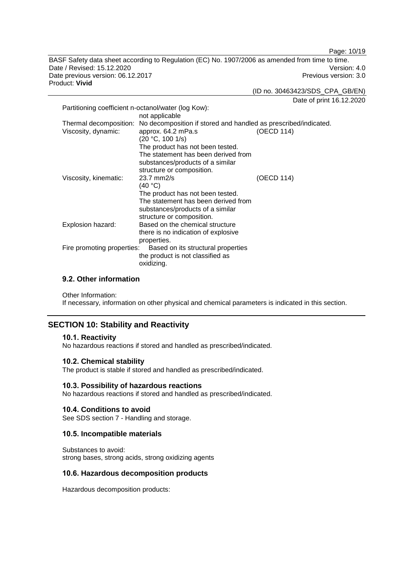Page: 10/19

BASF Safety data sheet according to Regulation (EC) No. 1907/2006 as amended from time to time. Date / Revised: 15.12.2020<br>
Date previous version: 06.12.2017<br>
Date previous version: 06.12.2017 Date previous version: 06.12.2017 Product: **Vivid**

(ID no. 30463423/SDS\_CPA\_GB/EN)

Date of print 16.12.2020

| Partitioning coefficient n-octanol/water (log Kow):              |                                                                                                             |            |
|------------------------------------------------------------------|-------------------------------------------------------------------------------------------------------------|------------|
|                                                                  | not applicable                                                                                              |            |
| Thermal decomposition:<br>Viscosity, dynamic:                    | No decomposition if stored and handled as prescribed/indicated.<br>approx. 64.2 mPa.s<br>(20 °C, 100 1/s)   | (OECD 114) |
|                                                                  | The product has not been tested.<br>The statement has been derived from<br>substances/products of a similar |            |
|                                                                  | structure or composition.                                                                                   |            |
| Viscosity, kinematic:                                            | $23.7$ mm $2/s$                                                                                             | (OECD 114) |
|                                                                  | (40 °C)                                                                                                     |            |
|                                                                  | The product has not been tested.                                                                            |            |
|                                                                  | The statement has been derived from                                                                         |            |
|                                                                  | substances/products of a similar                                                                            |            |
|                                                                  | structure or composition.                                                                                   |            |
| Explosion hazard:                                                | Based on the chemical structure                                                                             |            |
|                                                                  | there is no indication of explosive                                                                         |            |
|                                                                  | properties.                                                                                                 |            |
| Fire promoting properties:<br>Based on its structural properties |                                                                                                             |            |
|                                                                  | the product is not classified as                                                                            |            |
|                                                                  | oxidizing.                                                                                                  |            |

## **9.2. Other information**

Other Information:

If necessary, information on other physical and chemical parameters is indicated in this section.

## **SECTION 10: Stability and Reactivity**

#### **10.1. Reactivity**

No hazardous reactions if stored and handled as prescribed/indicated.

## **10.2. Chemical stability**

The product is stable if stored and handled as prescribed/indicated.

#### **10.3. Possibility of hazardous reactions**

No hazardous reactions if stored and handled as prescribed/indicated.

#### **10.4. Conditions to avoid**

See SDS section 7 - Handling and storage.

#### **10.5. Incompatible materials**

Substances to avoid: strong bases, strong acids, strong oxidizing agents

#### **10.6. Hazardous decomposition products**

Hazardous decomposition products: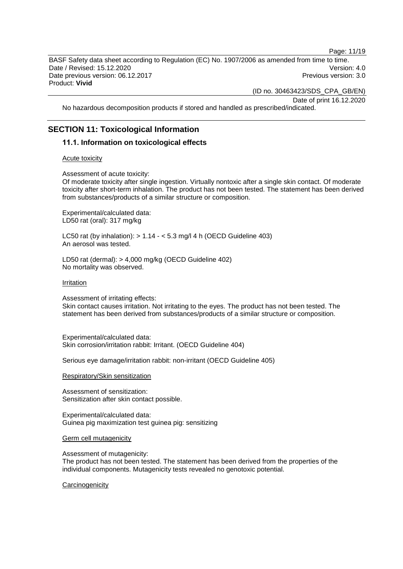Page: 11/19

BASF Safety data sheet according to Regulation (EC) No. 1907/2006 as amended from time to time. Date / Revised: 15.12.2020 Version: 4.0 Date previous version: 06.12.2017 **Previous version: 3.0** Previous version: 3.0 Product: **Vivid**

(ID no. 30463423/SDS\_CPA\_GB/EN)

Date of print 16.12.2020

No hazardous decomposition products if stored and handled as prescribed/indicated.

## **SECTION 11: Toxicological Information**

#### **11.1. Information on toxicological effects**

#### Acute toxicity

Assessment of acute toxicity:

Of moderate toxicity after single ingestion. Virtually nontoxic after a single skin contact. Of moderate toxicity after short-term inhalation. The product has not been tested. The statement has been derived from substances/products of a similar structure or composition.

Experimental/calculated data: LD50 rat (oral): 317 mg/kg

LC50 rat (by inhalation):  $> 1.14 - 5.3$  mg/l 4 h (OECD Guideline 403) An aerosol was tested.

LD50 rat (dermal): > 4,000 mg/kg (OECD Guideline 402) No mortality was observed.

Irritation

Assessment of irritating effects:

Skin contact causes irritation. Not irritating to the eyes. The product has not been tested. The statement has been derived from substances/products of a similar structure or composition.

Experimental/calculated data: Skin corrosion/irritation rabbit: Irritant. (OECD Guideline 404)

Serious eye damage/irritation rabbit: non-irritant (OECD Guideline 405)

Respiratory/Skin sensitization

Assessment of sensitization: Sensitization after skin contact possible.

Experimental/calculated data: Guinea pig maximization test guinea pig: sensitizing

Germ cell mutagenicity

Assessment of mutagenicity:

The product has not been tested. The statement has been derived from the properties of the individual components. Mutagenicity tests revealed no genotoxic potential.

**Carcinogenicity**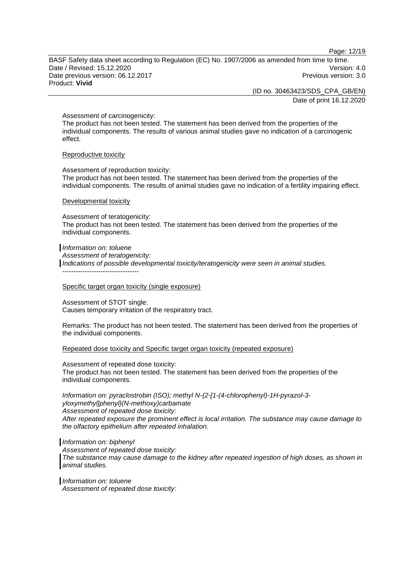Page: 12/19

BASF Safety data sheet according to Regulation (EC) No. 1907/2006 as amended from time to time. Date / Revised: 15.12.2020 Version: 4.0 Date previous version: 06.12.2017 **Previous version: 3.0** Previous version: 3.0 Product: **Vivid**

> (ID no. 30463423/SDS\_CPA\_GB/EN) Date of print 16.12.2020

Assessment of carcinogenicity:

The product has not been tested. The statement has been derived from the properties of the individual components. The results of various animal studies gave no indication of a carcinogenic effect.

#### Reproductive toxicity

Assessment of reproduction toxicity: The product has not been tested. The statement has been derived from the properties of the individual components. The results of animal studies gave no indication of a fertility impairing effect.

#### Developmental toxicity

Assessment of teratogenicity: The product has not been tested. The statement has been derived from the properties of the individual components.

*Information on: toluene Assessment of teratogenicity: Indications of possible developmental toxicity/teratogenicity were seen in animal studies.* ----------------------------------

#### Specific target organ toxicity (single exposure)

Assessment of STOT single: Causes temporary irritation of the respiratory tract.

Remarks: The product has not been tested. The statement has been derived from the properties of the individual components.

#### Repeated dose toxicity and Specific target organ toxicity (repeated exposure)

Assessment of repeated dose toxicity:

The product has not been tested. The statement has been derived from the properties of the individual components.

*Information on: pyraclostrobin (ISO); methyl N-{2-[1-(4-chlorophenyl)-1H-pyrazol-3 yloxymethyl]phenyl}(N-methoxy)carbamate Assessment of repeated dose toxicity: After repeated exposure the prominent effect is local irritation. The substance may cause damage to the olfactory epithelium after repeated inhalation.*

#### *Information on: biphenyl*

*Assessment of repeated dose toxicity: The substance may cause damage to the kidney after repeated ingestion of high doses, as shown in animal studies.*

*Information on: toluene Assessment of repeated dose toxicity:*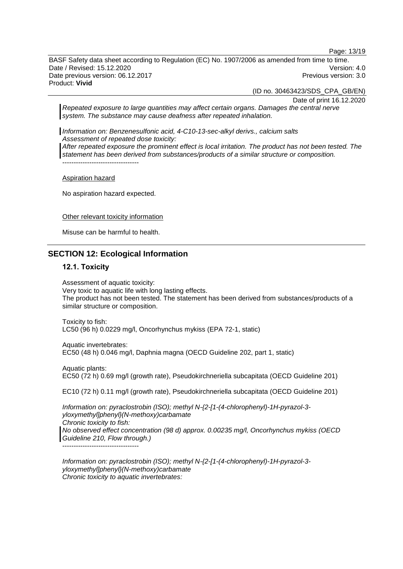Page: 13/19

BASF Safety data sheet according to Regulation (EC) No. 1907/2006 as amended from time to time. Date / Revised: 15.12.2020 Version: 4.0 Date previous version: 06.12.2017 **Previous version: 3.0** Previous version: 3.0 Product: **Vivid**

(ID no. 30463423/SDS\_CPA\_GB/EN)

Date of print 16.12.2020

*Repeated exposure to large quantities may affect certain organs. Damages the central nerve system. The substance may cause deafness after repeated inhalation.*

*Information on: Benzenesulfonic acid, 4-C10-13-sec-alkyl derivs., calcium salts Assessment of repeated dose toxicity: After repeated exposure the prominent effect is local irritation. The product has not been tested. The statement has been derived from substances/products of a similar structure or composition.*

Aspiration hazard

----------------------------------

No aspiration hazard expected.

Other relevant toxicity information

Misuse can be harmful to health.

## **SECTION 12: Ecological Information**

#### **12.1. Toxicity**

Assessment of aquatic toxicity: Very toxic to aquatic life with long lasting effects. The product has not been tested. The statement has been derived from substances/products of a similar structure or composition.

Toxicity to fish: LC50 (96 h) 0.0229 mg/l, Oncorhynchus mykiss (EPA 72-1, static)

Aquatic invertebrates: EC50 (48 h) 0.046 mg/l, Daphnia magna (OECD Guideline 202, part 1, static)

Aquatic plants: EC50 (72 h) 0.69 mg/l (growth rate), Pseudokirchneriella subcapitata (OECD Guideline 201)

EC10 (72 h) 0.11 mg/l (growth rate), Pseudokirchneriella subcapitata (OECD Guideline 201)

*Information on: pyraclostrobin (ISO); methyl N-{2-[1-(4-chlorophenyl)-1H-pyrazol-3 yloxymethyl]phenyl}(N-methoxy)carbamate Chronic toxicity to fish: No observed effect concentration (98 d) approx. 0.00235 mg/l, Oncorhynchus mykiss (OECD Guideline 210, Flow through.)* ----------------------------------

*Information on: pyraclostrobin (ISO); methyl N-{2-[1-(4-chlorophenyl)-1H-pyrazol-3 yloxymethyl]phenyl}(N-methoxy)carbamate Chronic toxicity to aquatic invertebrates:*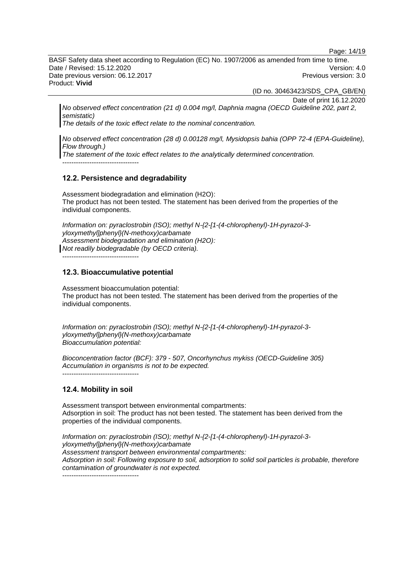Page: 14/19

BASF Safety data sheet according to Regulation (EC) No. 1907/2006 as amended from time to time. Date / Revised: 15.12.2020 Version: 4.0 Date previous version: 06.12.2017 **Previous version: 3.0** Previous version: 3.0 Product: **Vivid**

(ID no. 30463423/SDS\_CPA\_GB/EN)

Date of print 16.12.2020

*No observed effect concentration (21 d) 0.004 mg/l, Daphnia magna (OECD Guideline 202, part 2, semistatic)*

*The details of the toxic effect relate to the nominal concentration.*

*No observed effect concentration (28 d) 0.00128 mg/l, Mysidopsis bahia (OPP 72-4 (EPA-Guideline), Flow through.)*

*The statement of the toxic effect relates to the analytically determined concentration.*

----------------------------------

#### **12.2. Persistence and degradability**

Assessment biodegradation and elimination (H2O): The product has not been tested. The statement has been derived from the properties of the individual components.

*Information on: pyraclostrobin (ISO); methyl N-{2-[1-(4-chlorophenyl)-1H-pyrazol-3 yloxymethyl]phenyl}(N-methoxy)carbamate Assessment biodegradation and elimination (H2O): Not readily biodegradable (by OECD criteria).*

----------------------------------

#### **12.3. Bioaccumulative potential**

Assessment bioaccumulation potential: The product has not been tested. The statement has been derived from the properties of the individual components.

*Information on: pyraclostrobin (ISO); methyl N-{2-[1-(4-chlorophenyl)-1H-pyrazol-3 yloxymethyl]phenyl}(N-methoxy)carbamate Bioaccumulation potential:*

*Bioconcentration factor (BCF): 379 - 507, Oncorhynchus mykiss (OECD-Guideline 305) Accumulation in organisms is not to be expected.*

----------------------------------

#### **12.4. Mobility in soil**

Assessment transport between environmental compartments: Adsorption in soil: The product has not been tested. The statement has been derived from the properties of the individual components.

*Information on: pyraclostrobin (ISO); methyl N-{2-[1-(4-chlorophenyl)-1H-pyrazol-3 yloxymethyl]phenyl}(N-methoxy)carbamate Assessment transport between environmental compartments: Adsorption in soil: Following exposure to soil, adsorption to solid soil particles is probable, therefore contamination of groundwater is not expected.*

----------------------------------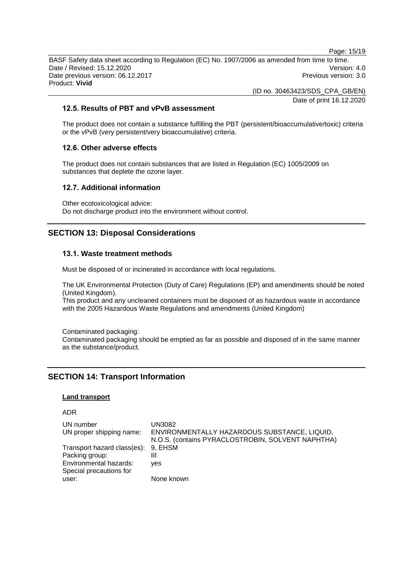Page: 15/19 BASF Safety data sheet according to Regulation (EC) No. 1907/2006 as amended from time to time. Date / Revised: 15.12.2020 Version: 4.0

Date previous version: 06.12.2017 **Previous version: 3.0** Previous version: 3.0 Product: **Vivid**

(ID no. 30463423/SDS\_CPA\_GB/EN)

Date of print 16.12.2020

## **12.5. Results of PBT and vPvB assessment**

The product does not contain a substance fulfilling the PBT (persistent/bioaccumulative/toxic) criteria or the vPvB (very persistent/very bioaccumulative) criteria.

## **12.6. Other adverse effects**

The product does not contain substances that are listed in Regulation (EC) 1005/2009 on substances that deplete the ozone layer.

#### **12.7. Additional information**

Other ecotoxicological advice: Do not discharge product into the environment without control.

## **SECTION 13: Disposal Considerations**

## **13.1. Waste treatment methods**

Must be disposed of or incinerated in accordance with local regulations.

The UK Environmental Protection (Duty of Care) Regulations (EP) and amendments should be noted (United Kingdom).

This product and any uncleaned containers must be disposed of as hazardous waste in accordance with the 2005 Hazardous Waste Regulations and amendments (United Kingdom)

Contaminated packaging: Contaminated packaging should be emptied as far as possible and disposed of in the same manner as the substance/product.

## **SECTION 14: Transport Information**

## **Land transport**

#### ADR

| UN number<br>UN proper shipping name: | UN3082<br>ENVIRONMENTALLY HAZARDOUS SUBSTANCE, LIQUID,<br>N.O.S. (contains PYRACLOSTROBIN, SOLVENT NAPHTHA) |
|---------------------------------------|-------------------------------------------------------------------------------------------------------------|
| Transport hazard class(es): 9, EHSM   |                                                                                                             |
| Packing group:                        | Ш                                                                                                           |
| Environmental hazards:                | <b>ves</b>                                                                                                  |
| Special precautions for               |                                                                                                             |
| user:                                 | None known                                                                                                  |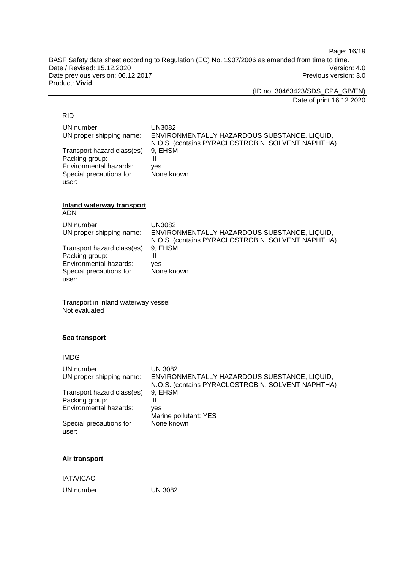Page: 16/19

BASF Safety data sheet according to Regulation (EC) No. 1907/2006 as amended from time to time. Date / Revised: 15.12.2020<br>
Date previous version: 06.12.2017<br>
Previous version: 3.0 Date previous version: 06.12.2017 Product: **Vivid**

(ID no. 30463423/SDS\_CPA\_GB/EN)

Date of print 16.12.2020

#### RID

| UN number                           | UN3082                                            |
|-------------------------------------|---------------------------------------------------|
| UN proper shipping name:            | ENVIRONMENTALLY HAZARDOUS SUBSTANCE, LIQUID,      |
|                                     | N.O.S. (contains PYRACLOSTROBIN, SOLVENT NAPHTHA) |
| Transport hazard class(es): 9, EHSM |                                                   |
| Packing group:                      |                                                   |
| Environmental hazards:              | ves                                               |
| Special precautions for             | None known                                        |
| user:                               |                                                   |

#### **Inland waterway transport** ADN

| UN number<br>UN proper shipping name: | UN3082<br>ENVIRONMENTALLY HAZARDOUS SUBSTANCE, LIQUID,<br>N.O.S. (contains PYRACLOSTROBIN, SOLVENT NAPHTHA) |
|---------------------------------------|-------------------------------------------------------------------------------------------------------------|
| Transport hazard class(es): 9, EHSM   |                                                                                                             |
| Packing group:                        | Ш                                                                                                           |
| Environmental hazards:                | ves                                                                                                         |
| Special precautions for               | None known                                                                                                  |
| user:                                 |                                                                                                             |

Transport in inland waterway vessel Not evaluated

## **Sea transport**

| <b>IMDG</b>                      |                                                                                                   |
|----------------------------------|---------------------------------------------------------------------------------------------------|
| UN number:                       | <b>UN 3082</b>                                                                                    |
| UN proper shipping name:         | ENVIRONMENTALLY HAZARDOUS SUBSTANCE, LIQUID,<br>N.O.S. (contains PYRACLOSTROBIN, SOLVENT NAPHTHA) |
| Transport hazard class(es):      | 9. EHSM                                                                                           |
| Packing group:                   | Ш                                                                                                 |
| Environmental hazards:           | yes                                                                                               |
|                                  | Marine pollutant: YES                                                                             |
| Special precautions for<br>user: | None known                                                                                        |
|                                  |                                                                                                   |

#### **Air transport**

IATA/ICAO

UN number: UN 3082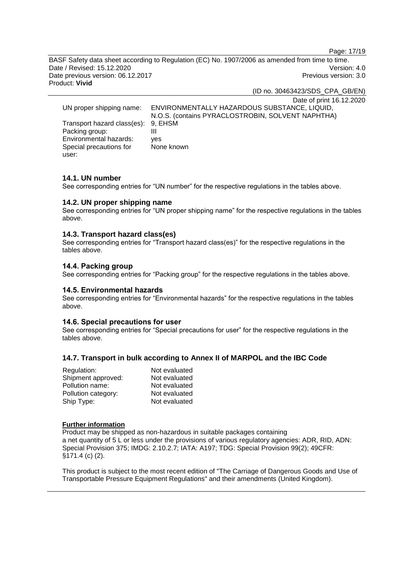Page: 17/19

BASF Safety data sheet according to Regulation (EC) No. 1907/2006 as amended from time to time. Date / Revised: 15.12.2020 Version: 4.0 Date previous version: 06.12.2017 <br>
Previous version: 3.0 Product: **Vivid**

(ID no. 30463423/SDS\_CPA\_GB/EN)

Date of print 16.12.2020 UN proper shipping name: ENVIRONMENTALLY HAZARDOUS SUBSTANCE, LIQUID, N.O.S. (contains PYRACLOSTROBIN, SOLVENT NAPHTHA) Transport hazard class(es): 9, EHSM Packing group: III<br>Environmental hazards: ves Environmental hazards: Special precautions for user: None known

#### **14.1. UN number**

See corresponding entries for "UN number" for the respective regulations in the tables above.

#### **14.2. UN proper shipping name**

See corresponding entries for "UN proper shipping name" for the respective regulations in the tables above.

#### **14.3. Transport hazard class(es)**

See corresponding entries for "Transport hazard class(es)" for the respective regulations in the tables above.

## **14.4. Packing group**

See corresponding entries for "Packing group" for the respective regulations in the tables above.

#### **14.5. Environmental hazards**

See corresponding entries for "Environmental hazards" for the respective regulations in the tables above.

#### **14.6. Special precautions for user**

See corresponding entries for "Special precautions for user" for the respective regulations in the tables above.

#### **14.7. Transport in bulk according to Annex II of MARPOL and the IBC Code**

| Regulation:         | Not evaluated |
|---------------------|---------------|
| Shipment approved:  | Not evaluated |
| Pollution name:     | Not evaluated |
| Pollution category: | Not evaluated |
| Ship Type:          | Not evaluated |

#### **Further information**

Product may be shipped as non-hazardous in suitable packages containing a net quantity of 5 L or less under the provisions of various regulatory agencies: ADR, RID, ADN: Special Provision 375; IMDG: 2.10.2.7; IATA: A197; TDG: Special Provision 99(2); 49CFR: §171.4 (c) (2).

This product is subject to the most recent edition of "The Carriage of Dangerous Goods and Use of Transportable Pressure Equipment Regulations" and their amendments (United Kingdom).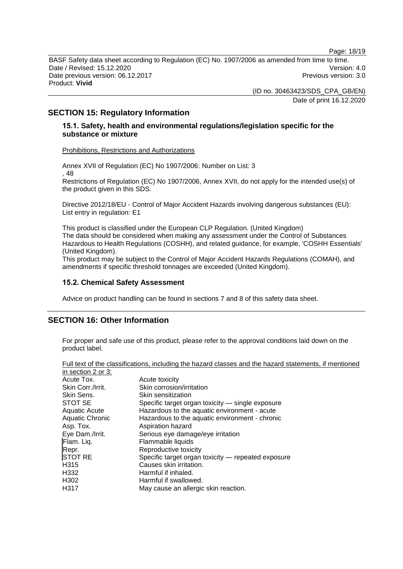Page: 18/19

BASF Safety data sheet according to Regulation (EC) No. 1907/2006 as amended from time to time. Date / Revised: 15.12.2020 Version: 4.0 Date previous version: 06.12.2017 **Previous version: 3.0** Previous version: 3.0 Product: **Vivid**

> (ID no. 30463423/SDS\_CPA\_GB/EN) Date of print 16.12.2020

## **SECTION 15: Regulatory Information**

#### **15.1. Safety, health and environmental regulations/legislation specific for the substance or mixture**

Prohibitions, Restrictions and Authorizations

Annex XVII of Regulation (EC) No 1907/2006: Number on List: 3 , 48 Restrictions of Regulation (EC) No 1907/2006, Annex XVII, do not apply for the intended use(s) of the product given in this SDS.

Directive 2012/18/EU - Control of Major Accident Hazards involving dangerous substances (EU): List entry in regulation: E1

This product is classified under the European CLP Regulation. (United Kingdom) The data should be considered when making any assessment under the Control of Substances Hazardous to Health Regulations (COSHH), and related guidance, for example, 'COSHH Essentials' (United Kingdom).

This product may be subject to the Control of Major Accident Hazards Regulations (COMAH), and amendments if specific threshold tonnages are exceeded (United Kingdom).

#### **15.2. Chemical Safety Assessment**

Advice on product handling can be found in sections 7 and 8 of this safety data sheet.

#### **SECTION 16: Other Information**

For proper and safe use of this product, please refer to the approval conditions laid down on the product label.

|                      | an tont or the oldestronouter increasing the nature classes and the nature. |
|----------------------|-----------------------------------------------------------------------------|
| in section 2 or 3:   |                                                                             |
| Acute Tox.           | Acute toxicity                                                              |
| Skin Corr./Irrit.    | Skin corrosion/irritation                                                   |
| Skin Sens.           | Skin sensitization                                                          |
| STOT SE              | Specific target organ toxicity — single exposure                            |
| <b>Aquatic Acute</b> | Hazardous to the aquatic environment - acute                                |
| Aquatic Chronic      | Hazardous to the aquatic environment - chronic                              |
| Asp. Tox.            | Aspiration hazard                                                           |
| Eye Dam./Irrit.      | Serious eye damage/eye irritation                                           |
| Flam. Liq.           | Flammable liquids                                                           |
| Repr.                | Reproductive toxicity                                                       |
| <b>STOT RE</b>       | Specific target organ toxicity — repeated exposure                          |
| H <sub>315</sub>     | Causes skin irritation.                                                     |
| H <sub>332</sub>     | Harmful if inhaled.                                                         |
| H <sub>302</sub>     | Harmful if swallowed.                                                       |
| H317                 | May cause an allergic skin reaction.                                        |
|                      |                                                                             |

Full text of the classifications, including the hazard classes and the hazard statements, if mentioned